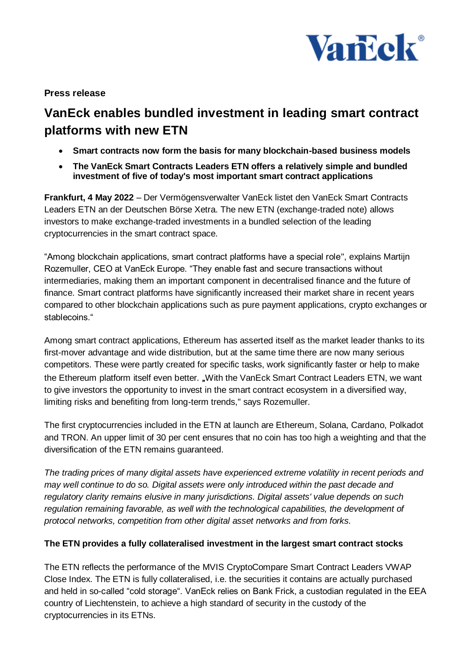

## **Press release**

# **VanEck enables bundled investment in leading smart contract platforms with new ETN**

- **Smart contracts now form the basis for many blockchain-based business models**
- **The VanEck Smart Contracts Leaders ETN offers a relatively simple and bundled investment of five of today's most important smart contract applications**

**Frankfurt, 4 May 2022** – Der Vermögensverwalter VanEck listet den VanEck Smart Contracts Leaders ETN an der Deutschen Börse Xetra. The new ETN (exchange-traded note) allows investors to make exchange-traded investments in a bundled selection of the leading cryptocurrencies in the smart contract space.

"Among blockchain applications, smart contract platforms have a special role", explains Martijn Rozemuller, CEO at VanEck Europe. "They enable fast and secure transactions without intermediaries, making them an important component in decentralised finance and the future of finance. Smart contract platforms have significantly increased their market share in recent years compared to other blockchain applications such as pure payment applications, crypto exchanges or stablecoins."

Among smart contract applications, Ethereum has asserted itself as the market leader thanks to its first-mover advantage and wide distribution, but at the same time there are now many serious competitors. These were partly created for specific tasks, work significantly faster or help to make the Ethereum platform itself even better. "With the VanEck Smart Contract Leaders ETN, we want to give investors the opportunity to invest in the smart contract ecosystem in a diversified way, limiting risks and benefiting from long-term trends," says Rozemuller.

The first cryptocurrencies included in the ETN at launch are Ethereum, Solana, Cardano, Polkadot and TRON. An upper limit of 30 per cent ensures that no coin has too high a weighting and that the diversification of the ETN remains guaranteed.

*The trading prices of many digital assets have experienced extreme volatility in recent periods and may well continue to do so. Digital assets were only introduced within the past decade and regulatory clarity remains elusive in many jurisdictions. Digital assets' value depends on such regulation remaining favorable, as well with the technological capabilities, the development of protocol networks, competition from other digital asset networks and from forks.* 

## **The ETN provides a fully collateralised investment in the largest smart contract stocks**

The ETN reflects the performance of the MVIS CryptoCompare Smart Contract Leaders VWAP Close Index. The ETN is fully collateralised, i.e. the securities it contains are actually purchased and held in so-called "cold storage". VanEck relies on Bank Frick, a custodian regulated in the EEA country of Liechtenstein, to achieve a high standard of security in the custody of the cryptocurrencies in its ETNs.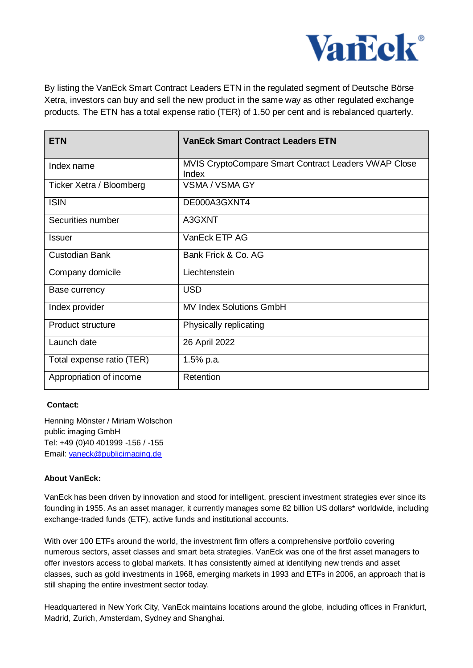

By listing the VanEck Smart Contract Leaders ETN in the regulated segment of Deutsche Börse Xetra, investors can buy and sell the new product in the same way as other regulated exchange products. The ETN has a total expense ratio (TER) of 1.50 per cent and is rebalanced quarterly.

| <b>ETN</b>                | <b>VanEck Smart Contract Leaders ETN</b>                      |
|---------------------------|---------------------------------------------------------------|
| Index name                | MVIS CryptoCompare Smart Contract Leaders VWAP Close<br>Index |
| Ticker Xetra / Bloomberg  | <b>VSMA / VSMA GY</b>                                         |
| <b>ISIN</b>               | DE000A3GXNT4                                                  |
| Securities number         | A3GXNT                                                        |
| <b>Issuer</b>             | VanEck ETP AG                                                 |
| <b>Custodian Bank</b>     | Bank Frick & Co. AG                                           |
| Company domicile          | Liechtenstein                                                 |
| Base currency             | <b>USD</b>                                                    |
| Index provider            | <b>MV Index Solutions GmbH</b>                                |
| <b>Product structure</b>  | Physically replicating                                        |
| Launch date               | 26 April 2022                                                 |
| Total expense ratio (TER) | 1.5% p.a.                                                     |
| Appropriation of income   | Retention                                                     |

#### **Contact:**

Henning Mönster / Miriam Wolschon public imaging GmbH Tel: +49 (0)40 401999 -156 / -155 Email: [vaneck@publicimaging.de](mailto:vaneck@publicimaging.de)

### **About VanEck:**

VanEck has been driven by innovation and stood for intelligent, prescient investment strategies ever since its founding in 1955. As an asset manager, it currently manages some 82 billion US dollars\* worldwide, including exchange-traded funds (ETF), active funds and institutional accounts.

With over 100 ETFs around the world, the investment firm offers a comprehensive portfolio covering numerous sectors, asset classes and smart beta strategies. VanEck was one of the first asset managers to offer investors access to global markets. It has consistently aimed at identifying new trends and asset classes, such as gold investments in 1968, emerging markets in 1993 and ETFs in 2006, an approach that is still shaping the entire investment sector today.

Headquartered in New York City, VanEck maintains locations around the globe, including offices in Frankfurt, Madrid, Zurich, Amsterdam, Sydney and Shanghai.